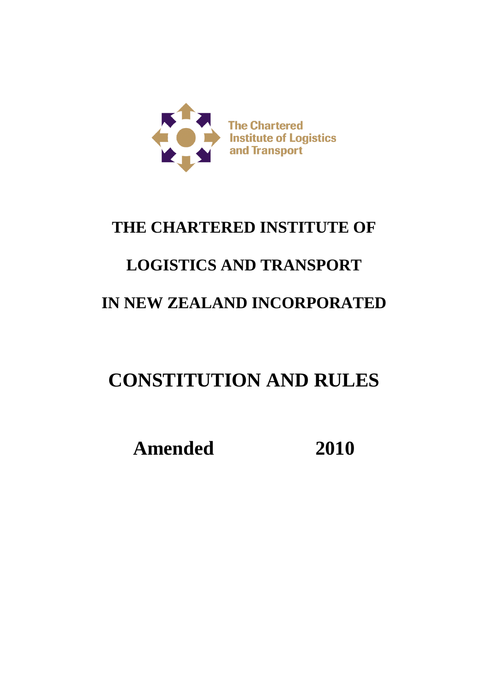

## **THE CHARTERED INSTITUTE OF**

## **LOGISTICS AND TRANSPORT**

## **IN NEW ZEALAND INCORPORATED**

# **CONSTITUTION AND RULES**

**Amended 2010**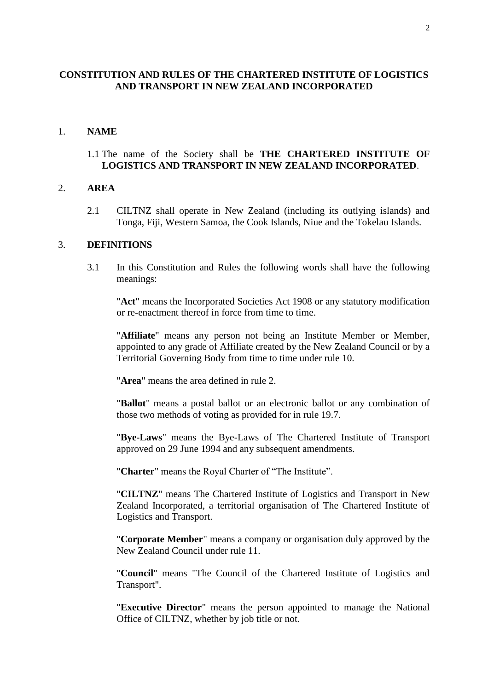## **CONSTITUTION AND RULES OF THE CHARTERED INSTITUTE OF LOGISTICS AND TRANSPORT IN NEW ZEALAND INCORPORATED**

#### 1. **NAME**

#### 1.1 The name of the Society shall be **THE CHARTERED INSTITUTE OF LOGISTICS AND TRANSPORT IN NEW ZEALAND INCORPORATED**.

#### 2. **AREA**

2.1 CILTNZ shall operate in New Zealand (including its outlying islands) and Tonga, Fiji, Western Samoa, the Cook Islands, Niue and the Tokelau Islands.

#### 3. **DEFINITIONS**

3.1 In this Constitution and Rules the following words shall have the following meanings:

"**Act**" means the Incorporated Societies Act 1908 or any statutory modification or re-enactment thereof in force from time to time.

"**Affiliate**" means any person not being an Institute Member or Member, appointed to any grade of Affiliate created by the New Zealand Council or by a Territorial Governing Body from time to time under rule 10.

"**Area**" means the area defined in rule 2.

"**Ballot**" means a postal ballot or an electronic ballot or any combination of those two methods of voting as provided for in rule 19.7.

"**Bye-Laws**" means the Bye-Laws of The Chartered Institute of Transport approved on 29 June 1994 and any subsequent amendments.

"**Charter**" means the Royal Charter of "The Institute".

"**CILTNZ**" means The Chartered Institute of Logistics and Transport in New Zealand Incorporated, a territorial organisation of The Chartered Institute of Logistics and Transport.

"**Corporate Member**" means a company or organisation duly approved by the New Zealand Council under rule 11.

"**Council**" means "The Council of the Chartered Institute of Logistics and Transport".

"**Executive Director**" means the person appointed to manage the National Office of CILTNZ, whether by job title or not.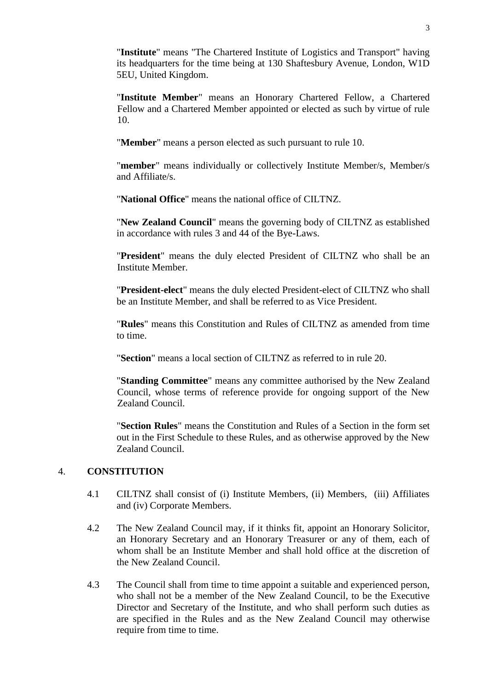"**Institute**" means "The Chartered Institute of Logistics and Transport" having its headquarters for the time being at 130 Shaftesbury Avenue, London, W1D 5EU, United Kingdom.

"**Institute Member**" means an Honorary Chartered Fellow, a Chartered Fellow and a Chartered Member appointed or elected as such by virtue of rule 10.

"**Member**" means a person elected as such pursuant to rule 10.

"**member**" means individually or collectively Institute Member/s, Member/s and Affiliate/s.

"**National Office**" means the national office of CILTNZ.

"**New Zealand Council**" means the governing body of CILTNZ as established in accordance with rules 3 and 44 of the Bye-Laws.

"**President**" means the duly elected President of CILTNZ who shall be an Institute Member.

"**President-elect**" means the duly elected President-elect of CILTNZ who shall be an Institute Member, and shall be referred to as Vice President.

"**Rules**" means this Constitution and Rules of CILTNZ as amended from time to time.

"**Section**" means a local section of CILTNZ as referred to in rule 20.

"**Standing Committee**" means any committee authorised by the New Zealand Council, whose terms of reference provide for ongoing support of the New Zealand Council.

"**Section Rules**" means the Constitution and Rules of a Section in the form set out in the First Schedule to these Rules, and as otherwise approved by the New Zealand Council.

## 4. **CONSTITUTION**

- 4.1 CILTNZ shall consist of (i) Institute Members, (ii) Members, (iii) Affiliates and (iv) Corporate Members.
- 4.2 The New Zealand Council may, if it thinks fit, appoint an Honorary Solicitor, an Honorary Secretary and an Honorary Treasurer or any of them, each of whom shall be an Institute Member and shall hold office at the discretion of the New Zealand Council.
- 4.3 The Council shall from time to time appoint a suitable and experienced person, who shall not be a member of the New Zealand Council, to be the Executive Director and Secretary of the Institute, and who shall perform such duties as are specified in the Rules and as the New Zealand Council may otherwise require from time to time.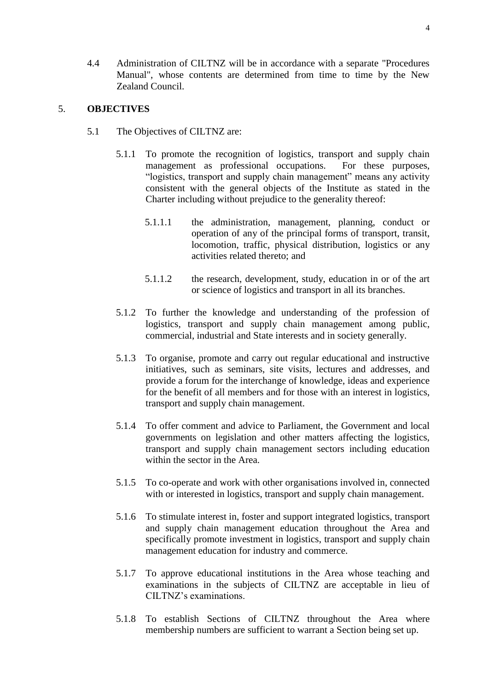4.4 Administration of CILTNZ will be in accordance with a separate "Procedures Manual", whose contents are determined from time to time by the New Zealand Council.

#### 5. **OBJECTIVES**

- 5.1 The Objectives of CILTNZ are:
	- 5.1.1 To promote the recognition of logistics, transport and supply chain management as professional occupations. For these purposes, "logistics, transport and supply chain management" means any activity consistent with the general objects of the Institute as stated in the Charter including without prejudice to the generality thereof:
		- 5.1.1.1 the administration, management, planning, conduct or operation of any of the principal forms of transport, transit, locomotion, traffic, physical distribution, logistics or any activities related thereto; and
		- 5.1.1.2 the research, development, study, education in or of the art or science of logistics and transport in all its branches.
	- 5.1.2 To further the knowledge and understanding of the profession of logistics, transport and supply chain management among public, commercial, industrial and State interests and in society generally.
	- 5.1.3 To organise, promote and carry out regular educational and instructive initiatives, such as seminars, site visits, lectures and addresses, and provide a forum for the interchange of knowledge, ideas and experience for the benefit of all members and for those with an interest in logistics, transport and supply chain management.
	- 5.1.4 To offer comment and advice to Parliament, the Government and local governments on legislation and other matters affecting the logistics, transport and supply chain management sectors including education within the sector in the Area.
	- 5.1.5 To co-operate and work with other organisations involved in, connected with or interested in logistics, transport and supply chain management.
	- 5.1.6 To stimulate interest in, foster and support integrated logistics, transport and supply chain management education throughout the Area and specifically promote investment in logistics, transport and supply chain management education for industry and commerce.
	- 5.1.7 To approve educational institutions in the Area whose teaching and examinations in the subjects of CILTNZ are acceptable in lieu of CILTNZ's examinations.
	- 5.1.8 To establish Sections of CILTNZ throughout the Area where membership numbers are sufficient to warrant a Section being set up.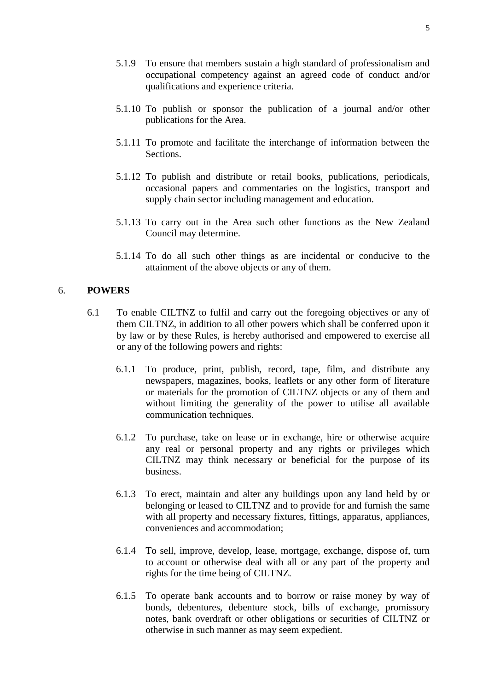- 5.1.9 To ensure that members sustain a high standard of professionalism and occupational competency against an agreed code of conduct and/or qualifications and experience criteria.
- 5.1.10 To publish or sponsor the publication of a journal and/or other publications for the Area.
- 5.1.11 To promote and facilitate the interchange of information between the Sections.
- 5.1.12 To publish and distribute or retail books, publications, periodicals, occasional papers and commentaries on the logistics, transport and supply chain sector including management and education.
- 5.1.13 To carry out in the Area such other functions as the New Zealand Council may determine.
- 5.1.14 To do all such other things as are incidental or conducive to the attainment of the above objects or any of them.

#### 6. **POWERS**

- 6.1 To enable CILTNZ to fulfil and carry out the foregoing objectives or any of them CILTNZ, in addition to all other powers which shall be conferred upon it by law or by these Rules, is hereby authorised and empowered to exercise all or any of the following powers and rights:
	- 6.1.1 To produce, print, publish, record, tape, film, and distribute any newspapers, magazines, books, leaflets or any other form of literature or materials for the promotion of CILTNZ objects or any of them and without limiting the generality of the power to utilise all available communication techniques.
	- 6.1.2 To purchase, take on lease or in exchange, hire or otherwise acquire any real or personal property and any rights or privileges which CILTNZ may think necessary or beneficial for the purpose of its business.
	- 6.1.3 To erect, maintain and alter any buildings upon any land held by or belonging or leased to CILTNZ and to provide for and furnish the same with all property and necessary fixtures, fittings, apparatus, appliances, conveniences and accommodation;
	- 6.1.4 To sell, improve, develop, lease, mortgage, exchange, dispose of, turn to account or otherwise deal with all or any part of the property and rights for the time being of CILTNZ.
	- 6.1.5 To operate bank accounts and to borrow or raise money by way of bonds, debentures, debenture stock, bills of exchange, promissory notes, bank overdraft or other obligations or securities of CILTNZ or otherwise in such manner as may seem expedient.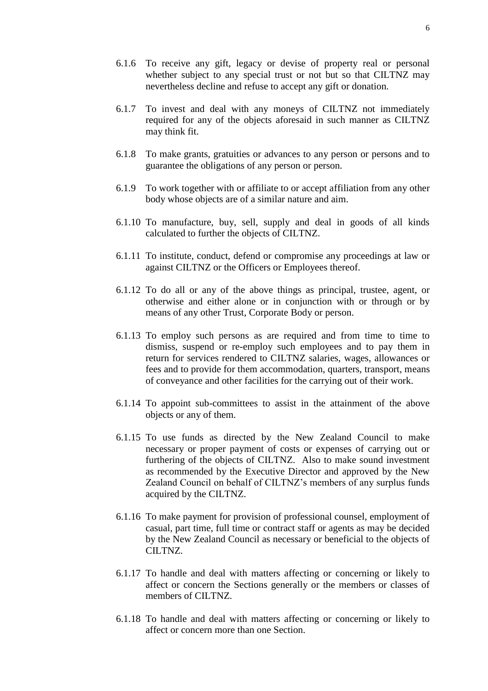- 6.1.6 To receive any gift, legacy or devise of property real or personal whether subject to any special trust or not but so that CILTNZ may nevertheless decline and refuse to accept any gift or donation.
- 6.1.7 To invest and deal with any moneys of CILTNZ not immediately required for any of the objects aforesaid in such manner as CILTNZ may think fit.
- 6.1.8 To make grants, gratuities or advances to any person or persons and to guarantee the obligations of any person or person.
- 6.1.9 To work together with or affiliate to or accept affiliation from any other body whose objects are of a similar nature and aim.
- 6.1.10 To manufacture, buy, sell, supply and deal in goods of all kinds calculated to further the objects of CILTNZ.
- 6.1.11 To institute, conduct, defend or compromise any proceedings at law or against CILTNZ or the Officers or Employees thereof.
- 6.1.12 To do all or any of the above things as principal, trustee, agent, or otherwise and either alone or in conjunction with or through or by means of any other Trust, Corporate Body or person.
- 6.1.13 To employ such persons as are required and from time to time to dismiss, suspend or re-employ such employees and to pay them in return for services rendered to CILTNZ salaries, wages, allowances or fees and to provide for them accommodation, quarters, transport, means of conveyance and other facilities for the carrying out of their work.
- 6.1.14 To appoint sub-committees to assist in the attainment of the above objects or any of them.
- 6.1.15 To use funds as directed by the New Zealand Council to make necessary or proper payment of costs or expenses of carrying out or furthering of the objects of CILTNZ. Also to make sound investment as recommended by the Executive Director and approved by the New Zealand Council on behalf of CILTNZ's members of any surplus funds acquired by the CILTNZ.
- 6.1.16 To make payment for provision of professional counsel, employment of casual, part time, full time or contract staff or agents as may be decided by the New Zealand Council as necessary or beneficial to the objects of CILTNZ.
- 6.1.17 To handle and deal with matters affecting or concerning or likely to affect or concern the Sections generally or the members or classes of members of CILTNZ.
- 6.1.18 To handle and deal with matters affecting or concerning or likely to affect or concern more than one Section.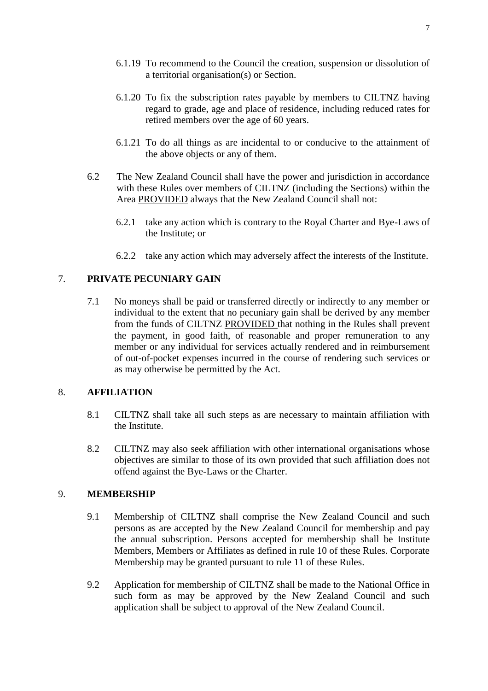- 6.1.19 To recommend to the Council the creation, suspension or dissolution of a territorial organisation(s) or Section.
- 6.1.20 To fix the subscription rates payable by members to CILTNZ having regard to grade, age and place of residence, including reduced rates for retired members over the age of 60 years.
- 6.1.21 To do all things as are incidental to or conducive to the attainment of the above objects or any of them.
- 6.2 The New Zealand Council shall have the power and jurisdiction in accordance with these Rules over members of CILTNZ (including the Sections) within the Area PROVIDED always that the New Zealand Council shall not:
	- 6.2.1 take any action which is contrary to the Royal Charter and Bye-Laws of the Institute; or
	- 6.2.2 take any action which may adversely affect the interests of the Institute.

## 7. **PRIVATE PECUNIARY GAIN**

7.1 No moneys shall be paid or transferred directly or indirectly to any member or individual to the extent that no pecuniary gain shall be derived by any member from the funds of CILTNZ PROVIDED that nothing in the Rules shall prevent the payment, in good faith, of reasonable and proper remuneration to any member or any individual for services actually rendered and in reimbursement of out-of-pocket expenses incurred in the course of rendering such services or as may otherwise be permitted by the Act.

#### 8. **AFFILIATION**

- 8.1 CILTNZ shall take all such steps as are necessary to maintain affiliation with the Institute.
- 8.2 CILTNZ may also seek affiliation with other international organisations whose objectives are similar to those of its own provided that such affiliation does not offend against the Bye-Laws or the Charter.

#### 9. **MEMBERSHIP**

- 9.1 Membership of CILTNZ shall comprise the New Zealand Council and such persons as are accepted by the New Zealand Council for membership and pay the annual subscription. Persons accepted for membership shall be Institute Members, Members or Affiliates as defined in rule 10 of these Rules. Corporate Membership may be granted pursuant to rule 11 of these Rules.
- 9.2 Application for membership of CILTNZ shall be made to the National Office in such form as may be approved by the New Zealand Council and such application shall be subject to approval of the New Zealand Council.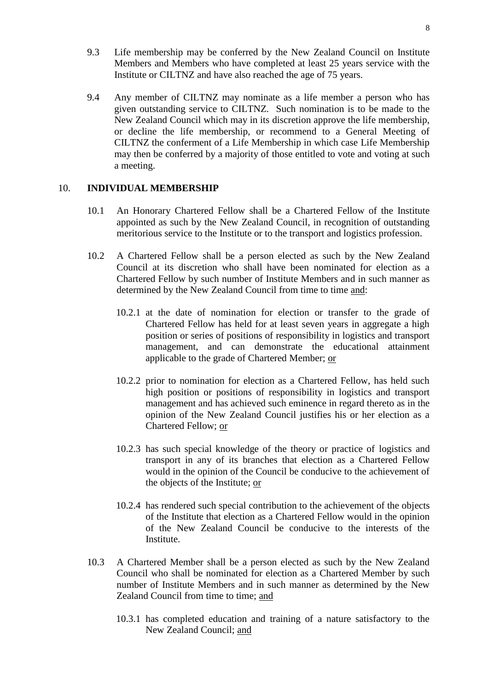- 9.3 Life membership may be conferred by the New Zealand Council on Institute Members and Members who have completed at least 25 years service with the Institute or CILTNZ and have also reached the age of 75 years.
- 9.4 Any member of CILTNZ may nominate as a life member a person who has given outstanding service to CILTNZ. Such nomination is to be made to the New Zealand Council which may in its discretion approve the life membership, or decline the life membership, or recommend to a General Meeting of CILTNZ the conferment of a Life Membership in which case Life Membership may then be conferred by a majority of those entitled to vote and voting at such a meeting.

#### 10. **INDIVIDUAL MEMBERSHIP**

- 10.1 An Honorary Chartered Fellow shall be a Chartered Fellow of the Institute appointed as such by the New Zealand Council, in recognition of outstanding meritorious service to the Institute or to the transport and logistics profession.
- 10.2 A Chartered Fellow shall be a person elected as such by the New Zealand Council at its discretion who shall have been nominated for election as a Chartered Fellow by such number of Institute Members and in such manner as determined by the New Zealand Council from time to time and:
	- 10.2.1 at the date of nomination for election or transfer to the grade of Chartered Fellow has held for at least seven years in aggregate a high position or series of positions of responsibility in logistics and transport management, and can demonstrate the educational attainment applicable to the grade of Chartered Member; or
	- 10.2.2 prior to nomination for election as a Chartered Fellow, has held such high position or positions of responsibility in logistics and transport management and has achieved such eminence in regard thereto as in the opinion of the New Zealand Council justifies his or her election as a Chartered Fellow; or
	- 10.2.3 has such special knowledge of the theory or practice of logistics and transport in any of its branches that election as a Chartered Fellow would in the opinion of the Council be conducive to the achievement of the objects of the Institute; or
	- 10.2.4 has rendered such special contribution to the achievement of the objects of the Institute that election as a Chartered Fellow would in the opinion of the New Zealand Council be conducive to the interests of the Institute.
- 10.3 A Chartered Member shall be a person elected as such by the New Zealand Council who shall be nominated for election as a Chartered Member by such number of Institute Members and in such manner as determined by the New Zealand Council from time to time; and
	- 10.3.1 has completed education and training of a nature satisfactory to the New Zealand Council; and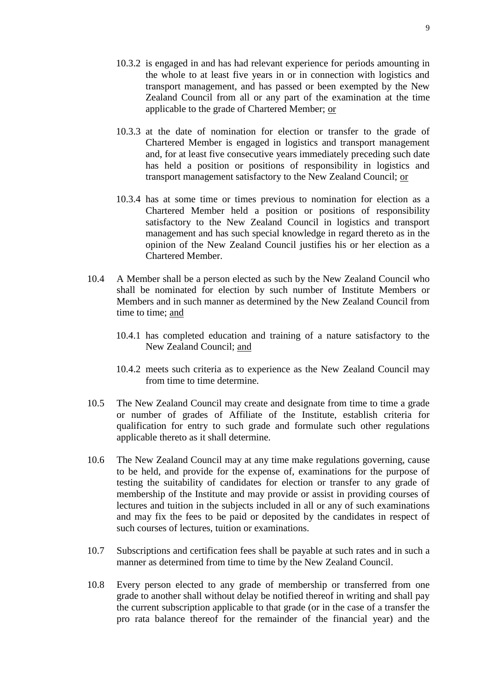- 10.3.2 is engaged in and has had relevant experience for periods amounting in the whole to at least five years in or in connection with logistics and transport management, and has passed or been exempted by the New Zealand Council from all or any part of the examination at the time applicable to the grade of Chartered Member; or
- 10.3.3 at the date of nomination for election or transfer to the grade of Chartered Member is engaged in logistics and transport management and, for at least five consecutive years immediately preceding such date has held a position or positions of responsibility in logistics and transport management satisfactory to the New Zealand Council; or
- 10.3.4 has at some time or times previous to nomination for election as a Chartered Member held a position or positions of responsibility satisfactory to the New Zealand Council in logistics and transport management and has such special knowledge in regard thereto as in the opinion of the New Zealand Council justifies his or her election as a Chartered Member.
- 10.4 A Member shall be a person elected as such by the New Zealand Council who shall be nominated for election by such number of Institute Members or Members and in such manner as determined by the New Zealand Council from time to time; and
	- 10.4.1 has completed education and training of a nature satisfactory to the New Zealand Council; and
	- 10.4.2 meets such criteria as to experience as the New Zealand Council may from time to time determine.
- 10.5 The New Zealand Council may create and designate from time to time a grade or number of grades of Affiliate of the Institute, establish criteria for qualification for entry to such grade and formulate such other regulations applicable thereto as it shall determine.
- 10.6 The New Zealand Council may at any time make regulations governing, cause to be held, and provide for the expense of, examinations for the purpose of testing the suitability of candidates for election or transfer to any grade of membership of the Institute and may provide or assist in providing courses of lectures and tuition in the subjects included in all or any of such examinations and may fix the fees to be paid or deposited by the candidates in respect of such courses of lectures, tuition or examinations.
- 10.7 Subscriptions and certification fees shall be payable at such rates and in such a manner as determined from time to time by the New Zealand Council.
- 10.8 Every person elected to any grade of membership or transferred from one grade to another shall without delay be notified thereof in writing and shall pay the current subscription applicable to that grade (or in the case of a transfer the pro rata balance thereof for the remainder of the financial year) and the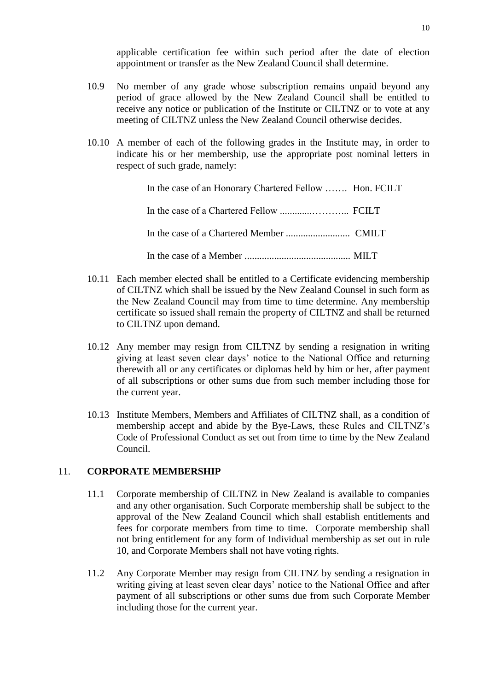applicable certification fee within such period after the date of election appointment or transfer as the New Zealand Council shall determine.

- 10.9 No member of any grade whose subscription remains unpaid beyond any period of grace allowed by the New Zealand Council shall be entitled to receive any notice or publication of the Institute or CILTNZ or to vote at any meeting of CILTNZ unless the New Zealand Council otherwise decides.
- 10.10 A member of each of the following grades in the Institute may, in order to indicate his or her membership, use the appropriate post nominal letters in respect of such grade, namely:

| In the case of an Honorary Chartered Fellow  Hon. FCILT |  |
|---------------------------------------------------------|--|
|                                                         |  |
|                                                         |  |
|                                                         |  |

- 10.11 Each member elected shall be entitled to a Certificate evidencing membership of CILTNZ which shall be issued by the New Zealand Counsel in such form as the New Zealand Council may from time to time determine. Any membership certificate so issued shall remain the property of CILTNZ and shall be returned to CILTNZ upon demand.
- 10.12 Any member may resign from CILTNZ by sending a resignation in writing giving at least seven clear days' notice to the National Office and returning therewith all or any certificates or diplomas held by him or her, after payment of all subscriptions or other sums due from such member including those for the current year.
- 10.13 Institute Members, Members and Affiliates of CILTNZ shall, as a condition of membership accept and abide by the Bye-Laws, these Rules and CILTNZ's Code of Professional Conduct as set out from time to time by the New Zealand Council.

## 11. **CORPORATE MEMBERSHIP**

- 11.1 Corporate membership of CILTNZ in New Zealand is available to companies and any other organisation. Such Corporate membership shall be subject to the approval of the New Zealand Council which shall establish entitlements and fees for corporate members from time to time. Corporate membership shall not bring entitlement for any form of Individual membership as set out in rule 10, and Corporate Members shall not have voting rights.
- 11.2 Any Corporate Member may resign from CILTNZ by sending a resignation in writing giving at least seven clear days' notice to the National Office and after payment of all subscriptions or other sums due from such Corporate Member including those for the current year.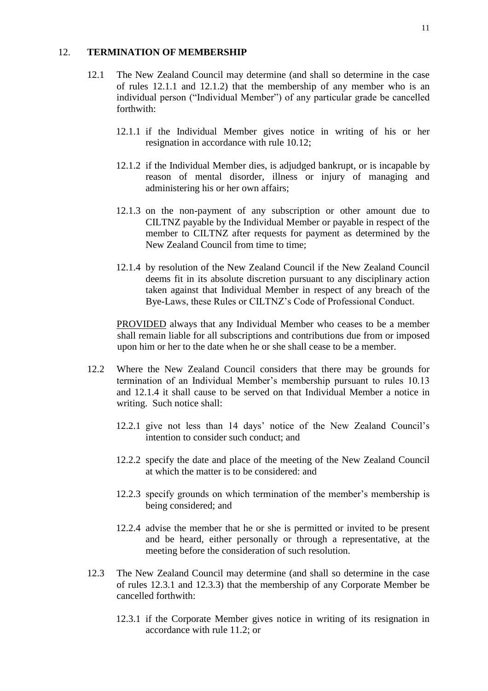#### 12. **TERMINATION OF MEMBERSHIP**

- 12.1 The New Zealand Council may determine (and shall so determine in the case of rules 12.1.1 and 12.1.2) that the membership of any member who is an individual person ("Individual Member") of any particular grade be cancelled forthwith:
	- 12.1.1 if the Individual Member gives notice in writing of his or her resignation in accordance with rule 10.12;
	- 12.1.2 if the Individual Member dies, is adjudged bankrupt, or is incapable by reason of mental disorder, illness or injury of managing and administering his or her own affairs;
	- 12.1.3 on the non-payment of any subscription or other amount due to CILTNZ payable by the Individual Member or payable in respect of the member to CILTNZ after requests for payment as determined by the New Zealand Council from time to time;
	- 12.1.4 by resolution of the New Zealand Council if the New Zealand Council deems fit in its absolute discretion pursuant to any disciplinary action taken against that Individual Member in respect of any breach of the Bye-Laws, these Rules or CILTNZ's Code of Professional Conduct.

PROVIDED always that any Individual Member who ceases to be a member shall remain liable for all subscriptions and contributions due from or imposed upon him or her to the date when he or she shall cease to be a member.

- 12.2 Where the New Zealand Council considers that there may be grounds for termination of an Individual Member's membership pursuant to rules 10.13 and 12.1.4 it shall cause to be served on that Individual Member a notice in writing. Such notice shall:
	- 12.2.1 give not less than 14 days' notice of the New Zealand Council's intention to consider such conduct; and
	- 12.2.2 specify the date and place of the meeting of the New Zealand Council at which the matter is to be considered: and
	- 12.2.3 specify grounds on which termination of the member's membership is being considered; and
	- 12.2.4 advise the member that he or she is permitted or invited to be present and be heard, either personally or through a representative, at the meeting before the consideration of such resolution.
- 12.3 The New Zealand Council may determine (and shall so determine in the case of rules 12.3.1 and 12.3.3) that the membership of any Corporate Member be cancelled forthwith:
	- 12.3.1 if the Corporate Member gives notice in writing of its resignation in accordance with rule 11.2; or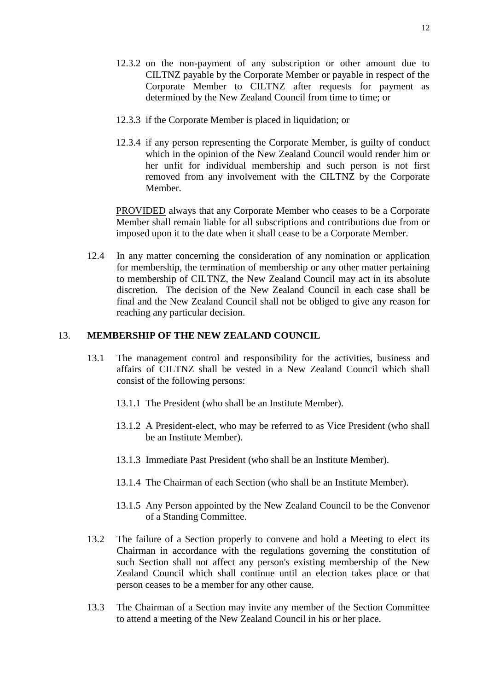- 12.3.2 on the non-payment of any subscription or other amount due to CILTNZ payable by the Corporate Member or payable in respect of the Corporate Member to CILTNZ after requests for payment as determined by the New Zealand Council from time to time; or
- 12.3.3 if the Corporate Member is placed in liquidation; or
- 12.3.4 if any person representing the Corporate Member, is guilty of conduct which in the opinion of the New Zealand Council would render him or her unfit for individual membership and such person is not first removed from any involvement with the CILTNZ by the Corporate Member.

PROVIDED always that any Corporate Member who ceases to be a Corporate Member shall remain liable for all subscriptions and contributions due from or imposed upon it to the date when it shall cease to be a Corporate Member.

12.4 In any matter concerning the consideration of any nomination or application for membership, the termination of membership or any other matter pertaining to membership of CILTNZ, the New Zealand Council may act in its absolute discretion. The decision of the New Zealand Council in each case shall be final and the New Zealand Council shall not be obliged to give any reason for reaching any particular decision.

#### 13. **MEMBERSHIP OF THE NEW ZEALAND COUNCIL**

- 13.1 The management control and responsibility for the activities, business and affairs of CILTNZ shall be vested in a New Zealand Council which shall consist of the following persons:
	- 13.1.1 The President (who shall be an Institute Member).
	- 13.1.2 A President-elect, who may be referred to as Vice President (who shall be an Institute Member).
	- 13.1.3 Immediate Past President (who shall be an Institute Member).
	- 13.1.4 The Chairman of each Section (who shall be an Institute Member).
	- 13.1.5 Any Person appointed by the New Zealand Council to be the Convenor of a Standing Committee.
- 13.2 The failure of a Section properly to convene and hold a Meeting to elect its Chairman in accordance with the regulations governing the constitution of such Section shall not affect any person's existing membership of the New Zealand Council which shall continue until an election takes place or that person ceases to be a member for any other cause.
- 13.3 The Chairman of a Section may invite any member of the Section Committee to attend a meeting of the New Zealand Council in his or her place.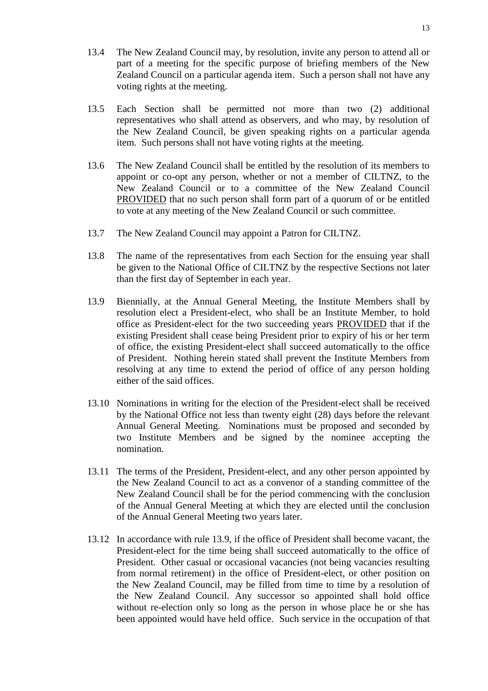- 13.4 The New Zealand Council may, by resolution, invite any person to attend all or part of a meeting for the specific purpose of briefing members of the New Zealand Council on a particular agenda item. Such a person shall not have any voting rights at the meeting.
- 13.5 Each Section shall be permitted not more than two (2) additional representatives who shall attend as observers, and who may, by resolution of the New Zealand Council, be given speaking rights on a particular agenda item. Such persons shall not have voting rights at the meeting.
- 13.6 The New Zealand Council shall be entitled by the resolution of its members to appoint or co-opt any person, whether or not a member of CILTNZ, to the New Zealand Council or to a committee of the New Zealand Council PROVIDED that no such person shall form part of a quorum of or be entitled to vote at any meeting of the New Zealand Council or such committee.
- 13.7 The New Zealand Council may appoint a Patron for CILTNZ.
- 13.8 The name of the representatives from each Section for the ensuing year shall be given to the National Office of CILTNZ by the respective Sections not later than the first day of September in each year.
- 13.9 Biennially, at the Annual General Meeting, the Institute Members shall by resolution elect a President-elect, who shall be an Institute Member, to hold office as President-elect for the two succeeding years PROVIDED that if the existing President shall cease being President prior to expiry of his or her term of office, the existing President-elect shall succeed automatically to the office of President. Nothing herein stated shall prevent the Institute Members from resolving at any time to extend the period of office of any person holding either of the said offices.
- 13.10 Nominations in writing for the election of the President-elect shall be received by the National Office not less than twenty eight (28) days before the relevant Annual General Meeting. Nominations must be proposed and seconded by two Institute Members and be signed by the nominee accepting the nomination.
- 13.11 The terms of the President, President-elect, and any other person appointed by the New Zealand Council to act as a convenor of a standing committee of the New Zealand Council shall be for the period commencing with the conclusion of the Annual General Meeting at which they are elected until the conclusion of the Annual General Meeting two years later.
- 13.12 In accordance with rule 13.9, if the office of President shall become vacant, the President-elect for the time being shall succeed automatically to the office of President. Other casual or occasional vacancies (not being vacancies resulting from normal retirement) in the office of President-elect, or other position on the New Zealand Council, may be filled from time to time by a resolution of the New Zealand Council. Any successor so appointed shall hold office without re-election only so long as the person in whose place he or she has been appointed would have held office. Such service in the occupation of that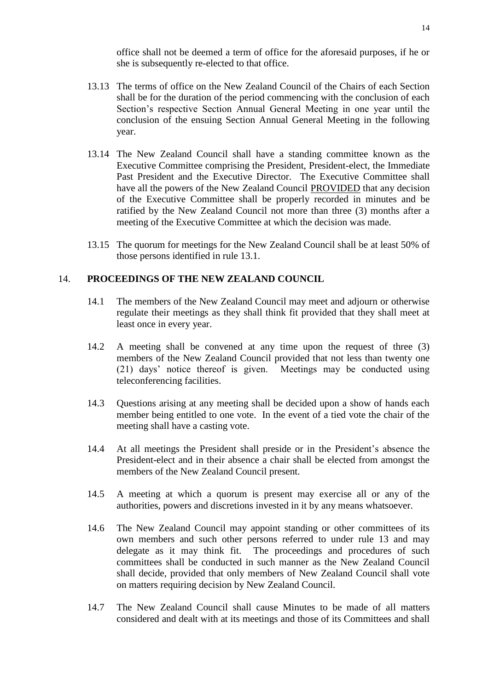office shall not be deemed a term of office for the aforesaid purposes, if he or she is subsequently re-elected to that office.

- 13.13 The terms of office on the New Zealand Council of the Chairs of each Section shall be for the duration of the period commencing with the conclusion of each Section's respective Section Annual General Meeting in one year until the conclusion of the ensuing Section Annual General Meeting in the following year.
- 13.14 The New Zealand Council shall have a standing committee known as the Executive Committee comprising the President, President-elect, the Immediate Past President and the Executive Director. The Executive Committee shall have all the powers of the New Zealand Council PROVIDED that any decision of the Executive Committee shall be properly recorded in minutes and be ratified by the New Zealand Council not more than three (3) months after a meeting of the Executive Committee at which the decision was made.
- 13.15 The quorum for meetings for the New Zealand Council shall be at least 50% of those persons identified in rule 13.1.

#### 14. **PROCEEDINGS OF THE NEW ZEALAND COUNCIL**

- 14.1 The members of the New Zealand Council may meet and adjourn or otherwise regulate their meetings as they shall think fit provided that they shall meet at least once in every year.
- 14.2 A meeting shall be convened at any time upon the request of three (3) members of the New Zealand Council provided that not less than twenty one (21) days' notice thereof is given. Meetings may be conducted using teleconferencing facilities.
- 14.3 Questions arising at any meeting shall be decided upon a show of hands each member being entitled to one vote. In the event of a tied vote the chair of the meeting shall have a casting vote.
- 14.4 At all meetings the President shall preside or in the President's absence the President-elect and in their absence a chair shall be elected from amongst the members of the New Zealand Council present.
- 14.5 A meeting at which a quorum is present may exercise all or any of the authorities, powers and discretions invested in it by any means whatsoever.
- 14.6 The New Zealand Council may appoint standing or other committees of its own members and such other persons referred to under rule 13 and may delegate as it may think fit. The proceedings and procedures of such committees shall be conducted in such manner as the New Zealand Council shall decide, provided that only members of New Zealand Council shall vote on matters requiring decision by New Zealand Council.
- 14.7 The New Zealand Council shall cause Minutes to be made of all matters considered and dealt with at its meetings and those of its Committees and shall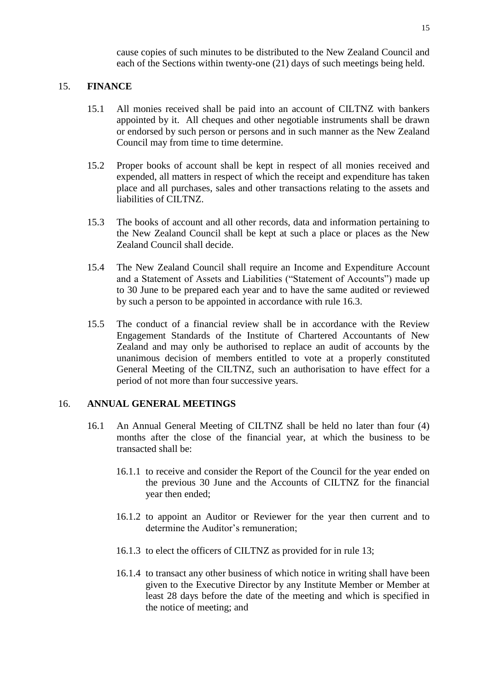cause copies of such minutes to be distributed to the New Zealand Council and each of the Sections within twenty-one (21) days of such meetings being held.

#### 15. **FINANCE**

- 15.1 All monies received shall be paid into an account of CILTNZ with bankers appointed by it. All cheques and other negotiable instruments shall be drawn or endorsed by such person or persons and in such manner as the New Zealand Council may from time to time determine.
- 15.2 Proper books of account shall be kept in respect of all monies received and expended, all matters in respect of which the receipt and expenditure has taken place and all purchases, sales and other transactions relating to the assets and liabilities of CILTNZ.
- 15.3 The books of account and all other records, data and information pertaining to the New Zealand Council shall be kept at such a place or places as the New Zealand Council shall decide.
- 15.4 The New Zealand Council shall require an Income and Expenditure Account and a Statement of Assets and Liabilities ("Statement of Accounts") made up to 30 June to be prepared each year and to have the same audited or reviewed by such a person to be appointed in accordance with rule 16.3.
- 15.5 The conduct of a financial review shall be in accordance with the Review Engagement Standards of the Institute of Chartered Accountants of New Zealand and may only be authorised to replace an audit of accounts by the unanimous decision of members entitled to vote at a properly constituted General Meeting of the CILTNZ, such an authorisation to have effect for a period of not more than four successive years.

#### 16. **ANNUAL GENERAL MEETINGS**

- 16.1 An Annual General Meeting of CILTNZ shall be held no later than four (4) months after the close of the financial year, at which the business to be transacted shall be:
	- 16.1.1 to receive and consider the Report of the Council for the year ended on the previous 30 June and the Accounts of CILTNZ for the financial year then ended;
	- 16.1.2 to appoint an Auditor or Reviewer for the year then current and to determine the Auditor's remuneration;
	- 16.1.3 to elect the officers of CILTNZ as provided for in rule 13;
	- 16.1.4 to transact any other business of which notice in writing shall have been given to the Executive Director by any Institute Member or Member at least 28 days before the date of the meeting and which is specified in the notice of meeting; and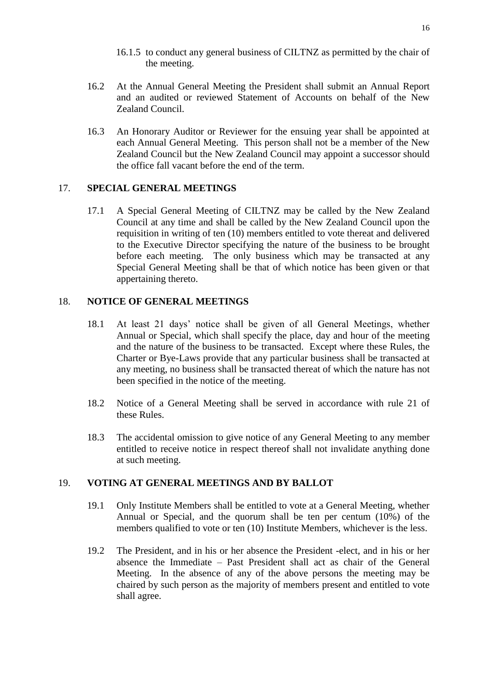- 16.1.5 to conduct any general business of CILTNZ as permitted by the chair of the meeting.
- 16.2 At the Annual General Meeting the President shall submit an Annual Report and an audited or reviewed Statement of Accounts on behalf of the New Zealand Council.
- 16.3 An Honorary Auditor or Reviewer for the ensuing year shall be appointed at each Annual General Meeting. This person shall not be a member of the New Zealand Council but the New Zealand Council may appoint a successor should the office fall vacant before the end of the term.

#### 17. **SPECIAL GENERAL MEETINGS**

17.1 A Special General Meeting of CILTNZ may be called by the New Zealand Council at any time and shall be called by the New Zealand Council upon the requisition in writing of ten (10) members entitled to vote thereat and delivered to the Executive Director specifying the nature of the business to be brought before each meeting. The only business which may be transacted at any Special General Meeting shall be that of which notice has been given or that appertaining thereto.

#### 18. **NOTICE OF GENERAL MEETINGS**

- 18.1 At least 21 days' notice shall be given of all General Meetings, whether Annual or Special, which shall specify the place, day and hour of the meeting and the nature of the business to be transacted. Except where these Rules, the Charter or Bye-Laws provide that any particular business shall be transacted at any meeting, no business shall be transacted thereat of which the nature has not been specified in the notice of the meeting.
- 18.2 Notice of a General Meeting shall be served in accordance with rule 21 of these Rules.
- 18.3 The accidental omission to give notice of any General Meeting to any member entitled to receive notice in respect thereof shall not invalidate anything done at such meeting.

#### 19. **VOTING AT GENERAL MEETINGS AND BY BALLOT**

- 19.1 Only Institute Members shall be entitled to vote at a General Meeting, whether Annual or Special, and the quorum shall be ten per centum (10%) of the members qualified to vote or ten (10) Institute Members, whichever is the less.
- 19.2 The President, and in his or her absence the President -elect, and in his or her absence the Immediate – Past President shall act as chair of the General Meeting. In the absence of any of the above persons the meeting may be chaired by such person as the majority of members present and entitled to vote shall agree.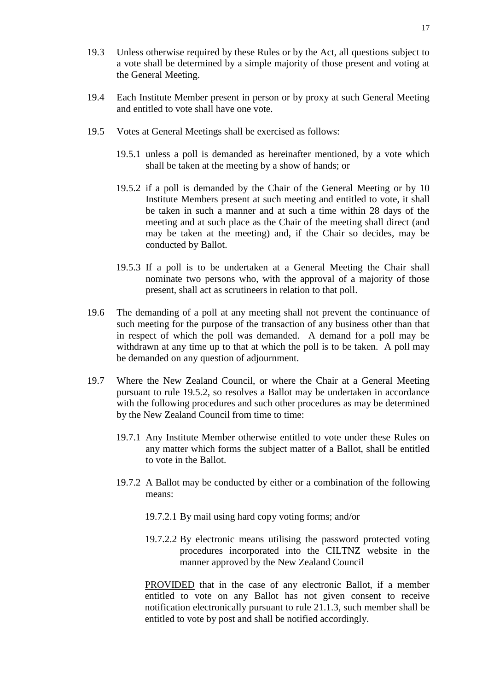- 19.3 Unless otherwise required by these Rules or by the Act, all questions subject to a vote shall be determined by a simple majority of those present and voting at the General Meeting.
- 19.4 Each Institute Member present in person or by proxy at such General Meeting and entitled to vote shall have one vote.
- 19.5 Votes at General Meetings shall be exercised as follows:
	- 19.5.1 unless a poll is demanded as hereinafter mentioned, by a vote which shall be taken at the meeting by a show of hands; or
	- 19.5.2 if a poll is demanded by the Chair of the General Meeting or by 10 Institute Members present at such meeting and entitled to vote, it shall be taken in such a manner and at such a time within 28 days of the meeting and at such place as the Chair of the meeting shall direct (and may be taken at the meeting) and, if the Chair so decides, may be conducted by Ballot.
	- 19.5.3 If a poll is to be undertaken at a General Meeting the Chair shall nominate two persons who, with the approval of a majority of those present, shall act as scrutineers in relation to that poll.
- 19.6 The demanding of a poll at any meeting shall not prevent the continuance of such meeting for the purpose of the transaction of any business other than that in respect of which the poll was demanded. A demand for a poll may be withdrawn at any time up to that at which the poll is to be taken. A poll may be demanded on any question of adjournment.
- 19.7 Where the New Zealand Council, or where the Chair at a General Meeting pursuant to rule 19.5.2, so resolves a Ballot may be undertaken in accordance with the following procedures and such other procedures as may be determined by the New Zealand Council from time to time:
	- 19.7.1 Any Institute Member otherwise entitled to vote under these Rules on any matter which forms the subject matter of a Ballot, shall be entitled to vote in the Ballot.
	- 19.7.2 A Ballot may be conducted by either or a combination of the following means:
		- 19.7.2.1 By mail using hard copy voting forms; and/or
		- 19.7.2.2 By electronic means utilising the password protected voting procedures incorporated into the CILTNZ website in the manner approved by the New Zealand Council

PROVIDED that in the case of any electronic Ballot, if a member entitled to vote on any Ballot has not given consent to receive notification electronically pursuant to rule 21.1.3, such member shall be entitled to vote by post and shall be notified accordingly.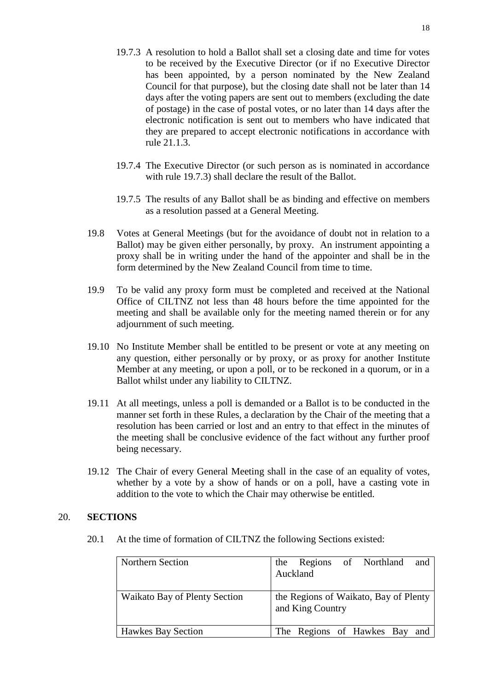- 19.7.3 A resolution to hold a Ballot shall set a closing date and time for votes to be received by the Executive Director (or if no Executive Director has been appointed, by a person nominated by the New Zealand Council for that purpose), but the closing date shall not be later than 14 days after the voting papers are sent out to members (excluding the date of postage) in the case of postal votes, or no later than 14 days after the electronic notification is sent out to members who have indicated that they are prepared to accept electronic notifications in accordance with rule 21.1.3.
- 19.7.4 The Executive Director (or such person as is nominated in accordance with rule 19.7.3) shall declare the result of the Ballot.
- 19.7.5 The results of any Ballot shall be as binding and effective on members as a resolution passed at a General Meeting.
- 19.8 Votes at General Meetings (but for the avoidance of doubt not in relation to a Ballot) may be given either personally, by proxy. An instrument appointing a proxy shall be in writing under the hand of the appointer and shall be in the form determined by the New Zealand Council from time to time.
- 19.9 To be valid any proxy form must be completed and received at the National Office of CILTNZ not less than 48 hours before the time appointed for the meeting and shall be available only for the meeting named therein or for any adjournment of such meeting.
- 19.10 No Institute Member shall be entitled to be present or vote at any meeting on any question, either personally or by proxy, or as proxy for another Institute Member at any meeting, or upon a poll, or to be reckoned in a quorum, or in a Ballot whilst under any liability to CILTNZ.
- 19.11 At all meetings, unless a poll is demanded or a Ballot is to be conducted in the manner set forth in these Rules, a declaration by the Chair of the meeting that a resolution has been carried or lost and an entry to that effect in the minutes of the meeting shall be conclusive evidence of the fact without any further proof being necessary.
- 19.12 The Chair of every General Meeting shall in the case of an equality of votes, whether by a vote by a show of hands or on a poll, have a casting vote in addition to the vote to which the Chair may otherwise be entitled.

#### 20. **SECTIONS**

20.1 At the time of formation of CILTNZ the following Sections existed:

| Northern Section              | the Regions of Northland<br>and<br>Auckland               |
|-------------------------------|-----------------------------------------------------------|
| Waikato Bay of Plenty Section | the Regions of Waikato, Bay of Plenty<br>and King Country |
| <b>Hawkes Bay Section</b>     | The Regions of Hawkes Bay and                             |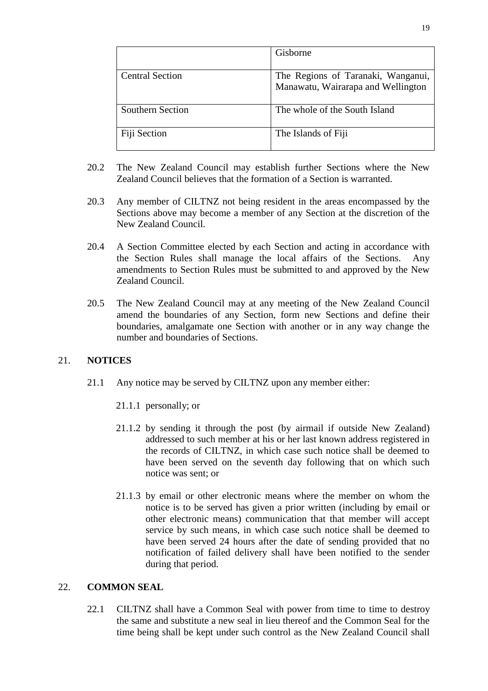|                         | Gisborne                                                                 |
|-------------------------|--------------------------------------------------------------------------|
| <b>Central Section</b>  | The Regions of Taranaki, Wanganui,<br>Manawatu, Wairarapa and Wellington |
| <b>Southern Section</b> | The whole of the South Island                                            |
| Fiji Section            | The Islands of Fiji                                                      |

- 20.2 The New Zealand Council may establish further Sections where the New Zealand Council believes that the formation of a Section is warranted.
- 20.3 Any member of CILTNZ not being resident in the areas encompassed by the Sections above may become a member of any Section at the discretion of the New Zealand Council.
- 20.4 A Section Committee elected by each Section and acting in accordance with the Section Rules shall manage the local affairs of the Sections. Any amendments to Section Rules must be submitted to and approved by the New Zealand Council.
- 20.5 The New Zealand Council may at any meeting of the New Zealand Council amend the boundaries of any Section, form new Sections and define their boundaries, amalgamate one Section with another or in any way change the number and boundaries of Sections.

#### 21. **NOTICES**

- 21.1 Any notice may be served by CILTNZ upon any member either:
	- 21.1.1 personally; or
	- 21.1.2 by sending it through the post (by airmail if outside New Zealand) addressed to such member at his or her last known address registered in the records of CILTNZ, in which case such notice shall be deemed to have been served on the seventh day following that on which such notice was sent; or
	- 21.1.3 by email or other electronic means where the member on whom the notice is to be served has given a prior written (including by email or other electronic means) communication that that member will accept service by such means, in which case such notice shall be deemed to have been served 24 hours after the date of sending provided that no notification of failed delivery shall have been notified to the sender during that period.

#### 22. **COMMON SEAL**

22.1 CILTNZ shall have a Common Seal with power from time to time to destroy the same and substitute a new seal in lieu thereof and the Common Seal for the time being shall be kept under such control as the New Zealand Council shall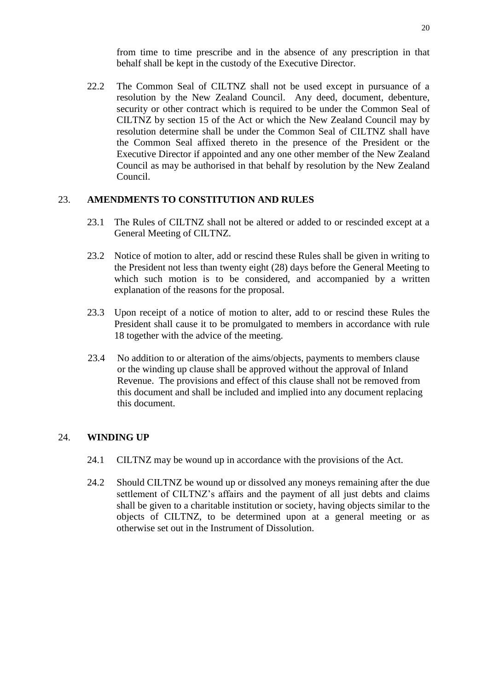from time to time prescribe and in the absence of any prescription in that behalf shall be kept in the custody of the Executive Director.

22.2 The Common Seal of CILTNZ shall not be used except in pursuance of a resolution by the New Zealand Council. Any deed, document, debenture, security or other contract which is required to be under the Common Seal of CILTNZ by section 15 of the Act or which the New Zealand Council may by resolution determine shall be under the Common Seal of CILTNZ shall have the Common Seal affixed thereto in the presence of the President or the Executive Director if appointed and any one other member of the New Zealand Council as may be authorised in that behalf by resolution by the New Zealand Council.

#### 23. **AMENDMENTS TO CONSTITUTION AND RULES**

- 23.1 The Rules of CILTNZ shall not be altered or added to or rescinded except at a General Meeting of CILTNZ.
- 23.2 Notice of motion to alter, add or rescind these Rules shall be given in writing to the President not less than twenty eight (28) days before the General Meeting to which such motion is to be considered, and accompanied by a written explanation of the reasons for the proposal.
- 23.3 Upon receipt of a notice of motion to alter, add to or rescind these Rules the President shall cause it to be promulgated to members in accordance with rule 18 together with the advice of the meeting.
- 23.4 No addition to or alteration of the aims/objects, payments to members clause or the winding up clause shall be approved without the approval of Inland Revenue. The provisions and effect of this clause shall not be removed from this document and shall be included and implied into any document replacing this document.

## 24. **WINDING UP**

- 24.1 CILTNZ may be wound up in accordance with the provisions of the Act.
- 24.2 Should CILTNZ be wound up or dissolved any moneys remaining after the due settlement of CILTNZ's affairs and the payment of all just debts and claims shall be given to a charitable institution or society, having objects similar to the objects of CILTNZ, to be determined upon at a general meeting or as otherwise set out in the Instrument of Dissolution.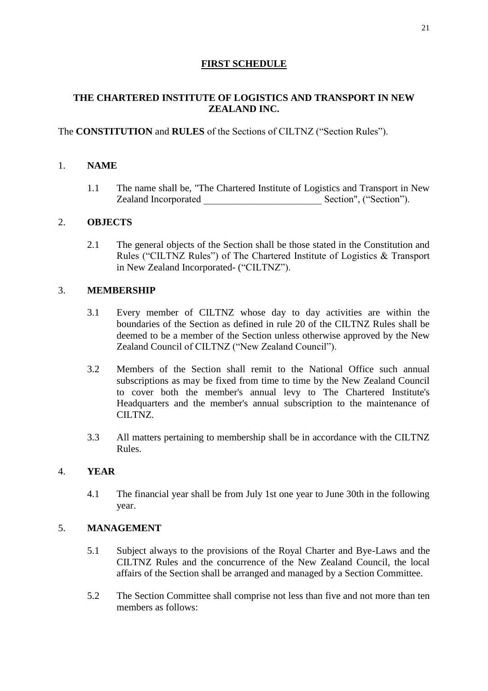## **FIRST SCHEDULE**

## **THE CHARTERED INSTITUTE OF LOGISTICS AND TRANSPORT IN NEW ZEALAND INC.**

## The **CONSTITUTION** and **RULES** of the Sections of CILTNZ ("Section Rules").

### 1. **NAME**

1.1 The name shall be, "The Chartered Institute of Logistics and Transport in New Zealand Incorporated \_\_\_\_\_\_\_\_\_\_\_\_\_\_\_\_\_\_\_\_\_\_\_\_ Section", ("Section").

#### 2. **OBJECTS**

2.1 The general objects of the Section shall be those stated in the Constitution and Rules ("CILTNZ Rules") of The Chartered Institute of Logistics & Transport in New Zealand Incorporated- ("CILTNZ").

#### 3. **MEMBERSHIP**

- 3.1 Every member of CILTNZ whose day to day activities are within the boundaries of the Section as defined in rule 20 of the CILTNZ Rules shall be deemed to be a member of the Section unless otherwise approved by the New Zealand Council of CILTNZ ("New Zealand Council").
- 3.2 Members of the Section shall remit to the National Office such annual subscriptions as may be fixed from time to time by the New Zealand Council to cover both the member's annual levy to The Chartered Institute's Headquarters and the member's annual subscription to the maintenance of CILTNZ.
- 3.3 All matters pertaining to membership shall be in accordance with the CILTNZ Rules.

#### 4. **YEAR**

4.1 The financial year shall be from July 1st one year to June 30th in the following year.

## 5. **MANAGEMENT**

- 5.1 Subject always to the provisions of the Royal Charter and Bye-Laws and the CILTNZ Rules and the concurrence of the New Zealand Council, the local affairs of the Section shall be arranged and managed by a Section Committee.
- 5.2 The Section Committee shall comprise not less than five and not more than ten members as follows: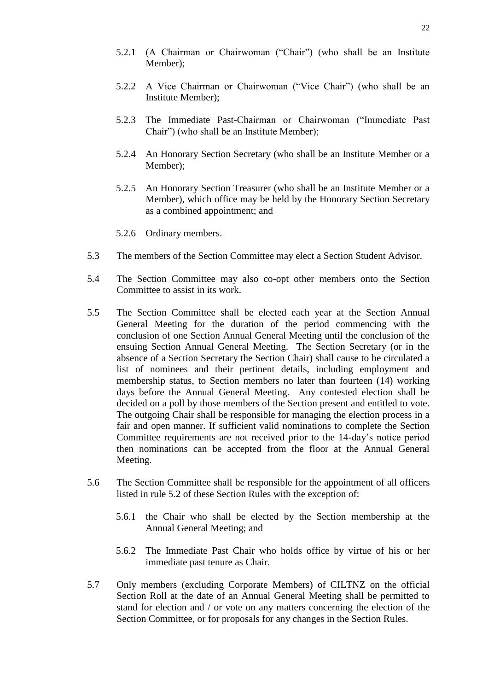- 5.2.1 (A Chairman or Chairwoman ("Chair") (who shall be an Institute Member);
- 5.2.2 A Vice Chairman or Chairwoman ("Vice Chair") (who shall be an Institute Member);
- 5.2.3 The Immediate Past-Chairman or Chairwoman ("Immediate Past Chair") (who shall be an Institute Member);
- 5.2.4 An Honorary Section Secretary (who shall be an Institute Member or a Member);
- 5.2.5 An Honorary Section Treasurer (who shall be an Institute Member or a Member), which office may be held by the Honorary Section Secretary as a combined appointment; and
- 5.2.6 Ordinary members.
- 5.3 The members of the Section Committee may elect a Section Student Advisor.
- 5.4 The Section Committee may also co-opt other members onto the Section Committee to assist in its work.
- 5.5 The Section Committee shall be elected each year at the Section Annual General Meeting for the duration of the period commencing with the conclusion of one Section Annual General Meeting until the conclusion of the ensuing Section Annual General Meeting. The Section Secretary (or in the absence of a Section Secretary the Section Chair) shall cause to be circulated a list of nominees and their pertinent details, including employment and membership status, to Section members no later than fourteen (14) working days before the Annual General Meeting. Any contested election shall be decided on a poll by those members of the Section present and entitled to vote. The outgoing Chair shall be responsible for managing the election process in a fair and open manner. If sufficient valid nominations to complete the Section Committee requirements are not received prior to the 14-day's notice period then nominations can be accepted from the floor at the Annual General Meeting.
- 5.6 The Section Committee shall be responsible for the appointment of all officers listed in rule 5.2 of these Section Rules with the exception of:
	- 5.6.1 the Chair who shall be elected by the Section membership at the Annual General Meeting; and
	- 5.6.2 The Immediate Past Chair who holds office by virtue of his or her immediate past tenure as Chair.
- 5.7 Only members (excluding Corporate Members) of CILTNZ on the official Section Roll at the date of an Annual General Meeting shall be permitted to stand for election and / or vote on any matters concerning the election of the Section Committee, or for proposals for any changes in the Section Rules.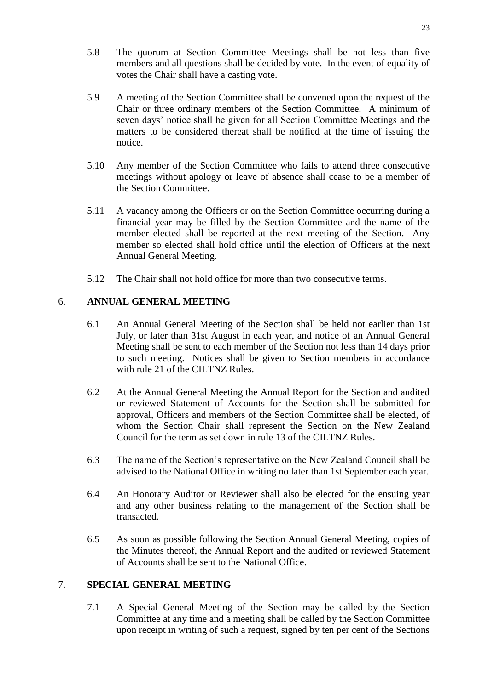- 5.8 The quorum at Section Committee Meetings shall be not less than five members and all questions shall be decided by vote. In the event of equality of votes the Chair shall have a casting vote.
- 5.9 A meeting of the Section Committee shall be convened upon the request of the Chair or three ordinary members of the Section Committee. A minimum of seven days' notice shall be given for all Section Committee Meetings and the matters to be considered thereat shall be notified at the time of issuing the notice.
- 5.10 Any member of the Section Committee who fails to attend three consecutive meetings without apology or leave of absence shall cease to be a member of the Section Committee.
- 5.11 A vacancy among the Officers or on the Section Committee occurring during a financial year may be filled by the Section Committee and the name of the member elected shall be reported at the next meeting of the Section. Any member so elected shall hold office until the election of Officers at the next Annual General Meeting.
- 5.12 The Chair shall not hold office for more than two consecutive terms.

## 6. **ANNUAL GENERAL MEETING**

- 6.1 An Annual General Meeting of the Section shall be held not earlier than 1st July, or later than 31st August in each year, and notice of an Annual General Meeting shall be sent to each member of the Section not less than 14 days prior to such meeting. Notices shall be given to Section members in accordance with rule 21 of the CILTNZ Rules.
- 6.2 At the Annual General Meeting the Annual Report for the Section and audited or reviewed Statement of Accounts for the Section shall be submitted for approval, Officers and members of the Section Committee shall be elected, of whom the Section Chair shall represent the Section on the New Zealand Council for the term as set down in rule 13 of the CILTNZ Rules.
- 6.3 The name of the Section's representative on the New Zealand Council shall be advised to the National Office in writing no later than 1st September each year.
- 6.4 An Honorary Auditor or Reviewer shall also be elected for the ensuing year and any other business relating to the management of the Section shall be transacted.
- 6.5 As soon as possible following the Section Annual General Meeting, copies of the Minutes thereof, the Annual Report and the audited or reviewed Statement of Accounts shall be sent to the National Office.

## 7. **SPECIAL GENERAL MEETING**

7.1 A Special General Meeting of the Section may be called by the Section Committee at any time and a meeting shall be called by the Section Committee upon receipt in writing of such a request, signed by ten per cent of the Sections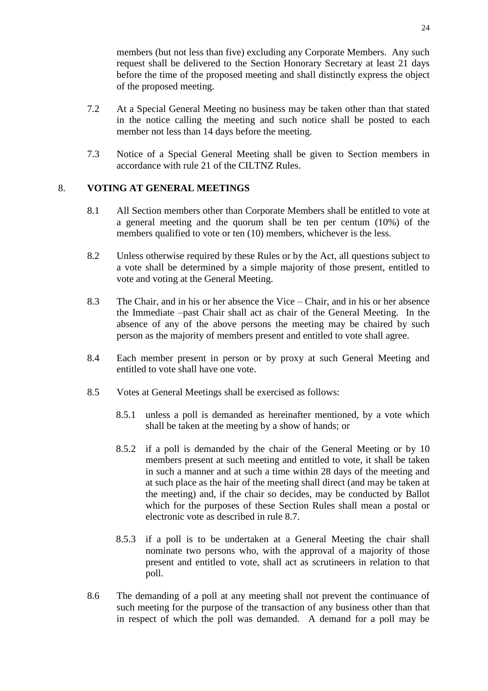members (but not less than five) excluding any Corporate Members. Any such request shall be delivered to the Section Honorary Secretary at least 21 days before the time of the proposed meeting and shall distinctly express the object of the proposed meeting.

- 7.2 At a Special General Meeting no business may be taken other than that stated in the notice calling the meeting and such notice shall be posted to each member not less than 14 days before the meeting.
- 7.3 Notice of a Special General Meeting shall be given to Section members in accordance with rule 21 of the CILTNZ Rules.

## 8. **VOTING AT GENERAL MEETINGS**

- 8.1 All Section members other than Corporate Members shall be entitled to vote at a general meeting and the quorum shall be ten per centum (10%) of the members qualified to vote or ten (10) members, whichever is the less.
- 8.2 Unless otherwise required by these Rules or by the Act, all questions subject to a vote shall be determined by a simple majority of those present, entitled to vote and voting at the General Meeting.
- 8.3 The Chair, and in his or her absence the Vice Chair, and in his or her absence the Immediate –past Chair shall act as chair of the General Meeting. In the absence of any of the above persons the meeting may be chaired by such person as the majority of members present and entitled to vote shall agree.
- 8.4 Each member present in person or by proxy at such General Meeting and entitled to vote shall have one vote.
- 8.5 Votes at General Meetings shall be exercised as follows:
	- 8.5.1 unless a poll is demanded as hereinafter mentioned, by a vote which shall be taken at the meeting by a show of hands; or
	- 8.5.2 if a poll is demanded by the chair of the General Meeting or by 10 members present at such meeting and entitled to vote, it shall be taken in such a manner and at such a time within 28 days of the meeting and at such place as the hair of the meeting shall direct (and may be taken at the meeting) and, if the chair so decides, may be conducted by Ballot which for the purposes of these Section Rules shall mean a postal or electronic vote as described in rule 8.7.
	- 8.5.3 if a poll is to be undertaken at a General Meeting the chair shall nominate two persons who, with the approval of a majority of those present and entitled to vote, shall act as scrutineers in relation to that poll.
- 8.6 The demanding of a poll at any meeting shall not prevent the continuance of such meeting for the purpose of the transaction of any business other than that in respect of which the poll was demanded. A demand for a poll may be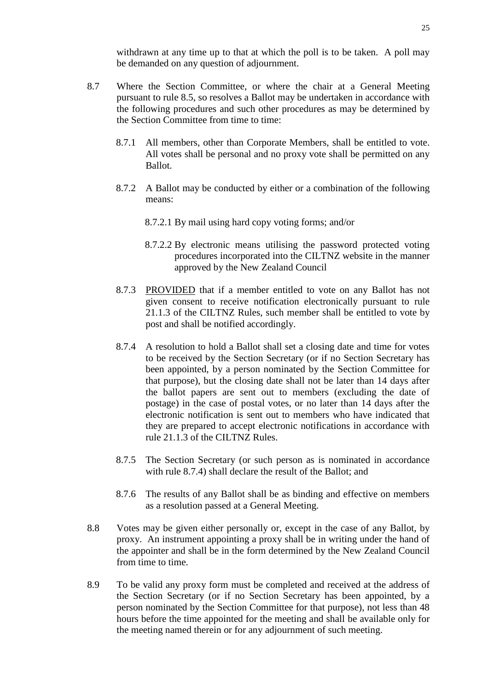- 8.7 Where the Section Committee, or where the chair at a General Meeting pursuant to rule 8.5, so resolves a Ballot may be undertaken in accordance with the following procedures and such other procedures as may be determined by the Section Committee from time to time:
	- 8.7.1 All members, other than Corporate Members, shall be entitled to vote. All votes shall be personal and no proxy vote shall be permitted on any Ballot.
	- 8.7.2 A Ballot may be conducted by either or a combination of the following means:
		- 8.7.2.1 By mail using hard copy voting forms; and/or
		- 8.7.2.2 By electronic means utilising the password protected voting procedures incorporated into the CILTNZ website in the manner approved by the New Zealand Council
	- 8.7.3 PROVIDED that if a member entitled to vote on any Ballot has not given consent to receive notification electronically pursuant to rule 21.1.3 of the CILTNZ Rules, such member shall be entitled to vote by post and shall be notified accordingly.
	- 8.7.4 A resolution to hold a Ballot shall set a closing date and time for votes to be received by the Section Secretary (or if no Section Secretary has been appointed, by a person nominated by the Section Committee for that purpose), but the closing date shall not be later than 14 days after the ballot papers are sent out to members (excluding the date of postage) in the case of postal votes, or no later than 14 days after the electronic notification is sent out to members who have indicated that they are prepared to accept electronic notifications in accordance with rule 21.1.3 of the CILTNZ Rules.
	- 8.7.5 The Section Secretary (or such person as is nominated in accordance with rule 8.7.4) shall declare the result of the Ballot; and
	- 8.7.6 The results of any Ballot shall be as binding and effective on members as a resolution passed at a General Meeting.
- 8.8 Votes may be given either personally or, except in the case of any Ballot, by proxy. An instrument appointing a proxy shall be in writing under the hand of the appointer and shall be in the form determined by the New Zealand Council from time to time.
- 8.9 To be valid any proxy form must be completed and received at the address of the Section Secretary (or if no Section Secretary has been appointed, by a person nominated by the Section Committee for that purpose), not less than 48 hours before the time appointed for the meeting and shall be available only for the meeting named therein or for any adjournment of such meeting.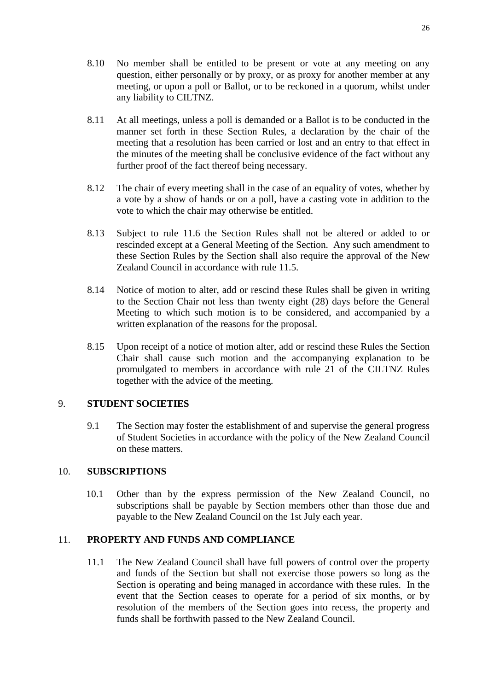- 8.10 No member shall be entitled to be present or vote at any meeting on any question, either personally or by proxy, or as proxy for another member at any meeting, or upon a poll or Ballot, or to be reckoned in a quorum, whilst under any liability to CILTNZ.
- 8.11 At all meetings, unless a poll is demanded or a Ballot is to be conducted in the manner set forth in these Section Rules, a declaration by the chair of the meeting that a resolution has been carried or lost and an entry to that effect in the minutes of the meeting shall be conclusive evidence of the fact without any further proof of the fact thereof being necessary.
- 8.12 The chair of every meeting shall in the case of an equality of votes, whether by a vote by a show of hands or on a poll, have a casting vote in addition to the vote to which the chair may otherwise be entitled.
- 8.13 Subject to rule 11.6 the Section Rules shall not be altered or added to or rescinded except at a General Meeting of the Section. Any such amendment to these Section Rules by the Section shall also require the approval of the New Zealand Council in accordance with rule 11.5.
- 8.14 Notice of motion to alter, add or rescind these Rules shall be given in writing to the Section Chair not less than twenty eight (28) days before the General Meeting to which such motion is to be considered, and accompanied by a written explanation of the reasons for the proposal.
- 8.15 Upon receipt of a notice of motion alter, add or rescind these Rules the Section Chair shall cause such motion and the accompanying explanation to be promulgated to members in accordance with rule 21 of the CILTNZ Rules together with the advice of the meeting.

#### 9. **STUDENT SOCIETIES**

9.1 The Section may foster the establishment of and supervise the general progress of Student Societies in accordance with the policy of the New Zealand Council on these matters.

#### 10. **SUBSCRIPTIONS**

10.1 Other than by the express permission of the New Zealand Council, no subscriptions shall be payable by Section members other than those due and payable to the New Zealand Council on the 1st July each year.

#### 11. **PROPERTY AND FUNDS AND COMPLIANCE**

11.1 The New Zealand Council shall have full powers of control over the property and funds of the Section but shall not exercise those powers so long as the Section is operating and being managed in accordance with these rules. In the event that the Section ceases to operate for a period of six months, or by resolution of the members of the Section goes into recess, the property and funds shall be forthwith passed to the New Zealand Council.